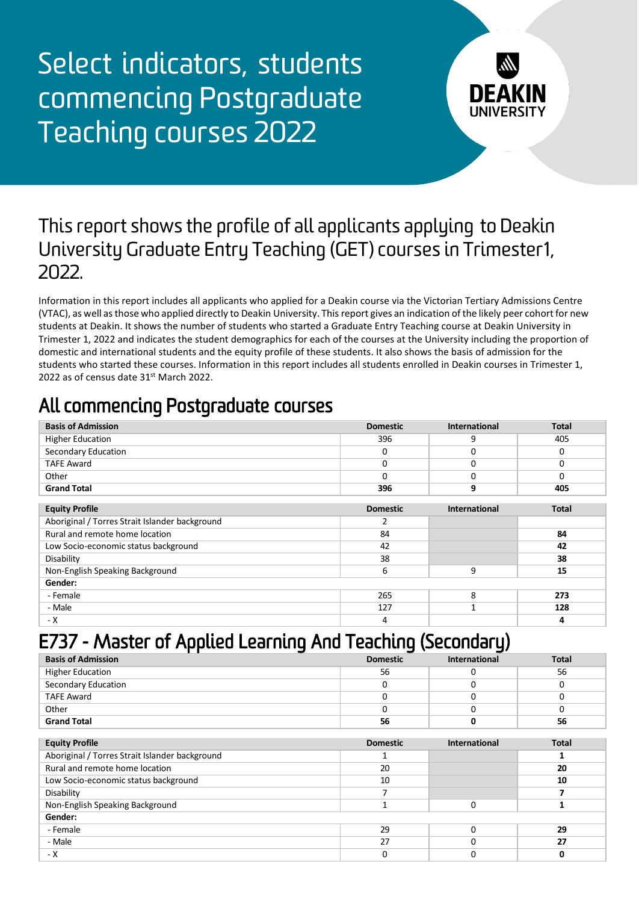Select indicators, students commencing Postgraduate Teaching courses 2022



#### This report shows the profile of all applicants applying to Deakin University Graduate Entry Teaching (GET) courses in Trimester1, 2022.

Information in this report includes all applicants who applied for a Deakin course via the Victorian Tertiary Admissions Centre (VTAC), as well as those who applied directly to Deakin University. This report gives an indication of the likely peer cohort for new students at Deakin. It shows the number of students who started a Graduate Entry Teaching course at Deakin University in Trimester 1, 2022 and indicates the student demographics for each of the courses at the University including the proportion of domestic and international students and the equity profile of these students. It also shows the basis of admission for the students who started these courses. Information in this report includes all students enrolled in Deakin courses in Trimester 1, 2022 as of census date 31<sup>st</sup> March 2022.

### All commencing Postgraduate courses

| <b>Basis of Admission</b>                      | <b>Domestic</b> | <b>International</b> | <b>Total</b> |
|------------------------------------------------|-----------------|----------------------|--------------|
| <b>Higher Education</b>                        | 396             | 9                    | 405          |
| Secondary Education                            | 0               |                      |              |
| <b>TAFE Award</b>                              | 0               | O                    |              |
| Other                                          | 0               |                      |              |
| <b>Grand Total</b>                             | 396             | 9                    | 405          |
|                                                |                 |                      |              |
| <b>Equity Profile</b>                          | <b>Domestic</b> | International        | <b>Total</b> |
| Aboriginal / Torres Strait Islander background |                 |                      |              |
| Rural and remote home location                 | 84              |                      | 84           |
| Low Socio-economic status background           | 42              |                      | 42           |
| Disability                                     | 38              |                      | 38           |

| Non-English Speaking Background |     | ᇩ   |
|---------------------------------|-----|-----|
| Gender:                         |     |     |
| - Female                        | 265 | 273 |
| - Male                          | 127 | 128 |
| - X                             |     |     |

## E737 - Master of Applied Learning And Teaching (Secondary)

| <b>Basis of Admission</b> | <b>Domestic</b> | <b>International</b> | <b>Total</b> |
|---------------------------|-----------------|----------------------|--------------|
| <b>Higher Education</b>   | 56              |                      | 56           |
| Secondary Education       |                 |                      |              |
| <b>TAFE Award</b>         |                 |                      |              |
| Other                     |                 |                      |              |
| <b>Grand Total</b>        | 56              |                      | 56           |
|                           |                 |                      |              |

| <b>Equity Profile</b>                          | <b>Domestic</b> | <b>International</b> | <b>Total</b> |
|------------------------------------------------|-----------------|----------------------|--------------|
| Aboriginal / Torres Strait Islander background |                 |                      |              |
| Rural and remote home location                 | 20              |                      | 20           |
| Low Socio-economic status background           | 10              |                      | 10           |
| Disability                                     |                 |                      |              |
| Non-English Speaking Background                |                 |                      |              |
| Gender:                                        |                 |                      |              |
| - Female                                       | 29              |                      | 29           |
| - Male                                         | 27              |                      | 27           |
| - X                                            |                 |                      |              |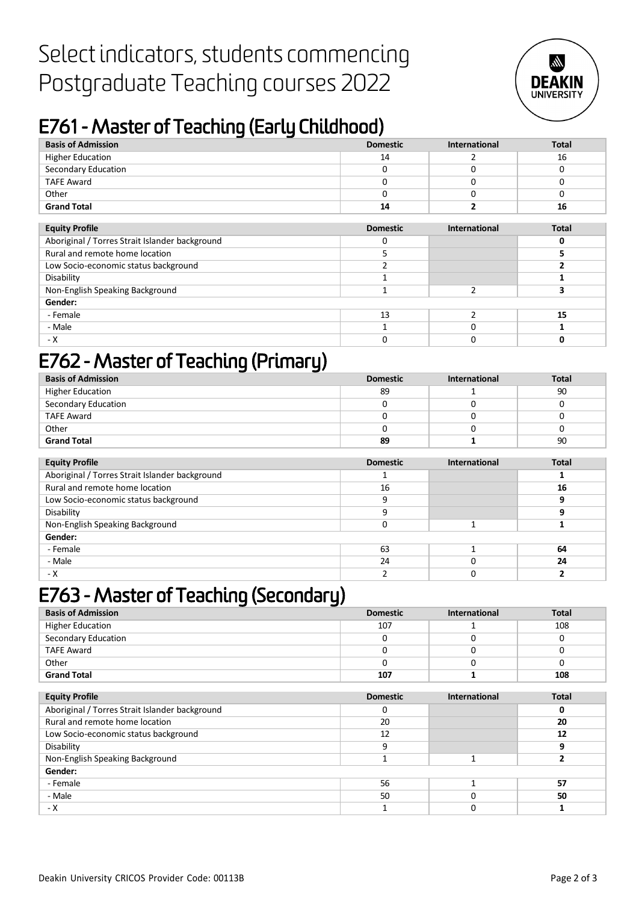# Select indicators, students commencing Postgraduate Teaching courses 2022



# E761 - Master of Teaching (Early Childhood)

| <b>Basis of Admission</b>                      | <b>Domestic</b> | <b>International</b> | <b>Total</b> |
|------------------------------------------------|-----------------|----------------------|--------------|
| <b>Higher Education</b>                        | 14              |                      | 16           |
| Secondary Education                            | 0               | O                    | O            |
| <b>TAFE Award</b>                              | 0               | 0                    | O            |
| Other                                          | 0               |                      | o            |
| <b>Grand Total</b>                             | 14              |                      | 16           |
|                                                |                 |                      |              |
| <b>Equity Profile</b>                          | <b>Domestic</b> | International        | <b>Total</b> |
| Aboriginal / Torres Strait Islander background | 0               |                      | 0            |
| Rural and remote home location                 | 5               |                      | 5            |
| Low Socio-economic status background           |                 |                      |              |
| Disability                                     | 1               |                      |              |
| Non-English Speaking Background                | 1               | 2                    | 3            |
| Gender:                                        |                 |                      |              |
| - Female                                       | 13              | $\mathfrak{p}$       | 15           |
| - Male                                         |                 | 0                    |              |
| - X                                            | 0               |                      |              |

## E762 - Master of Teaching (Primary)

| <b>Basis of Admission</b> | <b>Domestic</b> | <b>International</b> | <b>Total</b> |
|---------------------------|-----------------|----------------------|--------------|
| <b>Higher Education</b>   | 89              |                      | 90           |
| Secondary Education       |                 |                      |              |
| <b>TAFE Award</b>         |                 |                      |              |
| Other                     |                 |                      |              |
| <b>Grand Total</b>        | 89              |                      | 90           |

| <b>Equity Profile</b>                          | <b>Domestic</b> | International | <b>Total</b> |
|------------------------------------------------|-----------------|---------------|--------------|
| Aboriginal / Torres Strait Islander background |                 |               |              |
| Rural and remote home location                 | 16              |               | 16           |
| Low Socio-economic status background           | q               |               |              |
| Disability                                     | ٩               |               |              |
| Non-English Speaking Background                |                 |               |              |
| Gender:                                        |                 |               |              |
| - Female                                       | 63              |               | 64           |
| - Male                                         | 24              |               | 24           |
| - X                                            |                 |               |              |

### E763 - Master of Teaching (Secondary)

| <b>Basis of Admission</b> | <b>Domestic</b> | <b>International</b> | <b>Total</b> |
|---------------------------|-----------------|----------------------|--------------|
| <b>Higher Education</b>   | 107             |                      | 108          |
| Secondary Education       |                 |                      |              |
| <b>TAFE Award</b>         |                 |                      |              |
| Other                     |                 |                      |              |
| <b>Grand Total</b>        | 107             |                      | 108          |

| <b>Equity Profile</b>                          | <b>Domestic</b> | International | <b>Total</b> |
|------------------------------------------------|-----------------|---------------|--------------|
| Aboriginal / Torres Strait Islander background |                 |               |              |
| Rural and remote home location                 | 20              |               | 20           |
| Low Socio-economic status background           | 12              |               | 12           |
| Disability                                     | q               |               |              |
| Non-English Speaking Background                |                 |               |              |
| Gender:                                        |                 |               |              |
| - Female                                       | 56              |               | 57           |
| - Male                                         | 50              |               | 50           |
| - X                                            |                 |               |              |